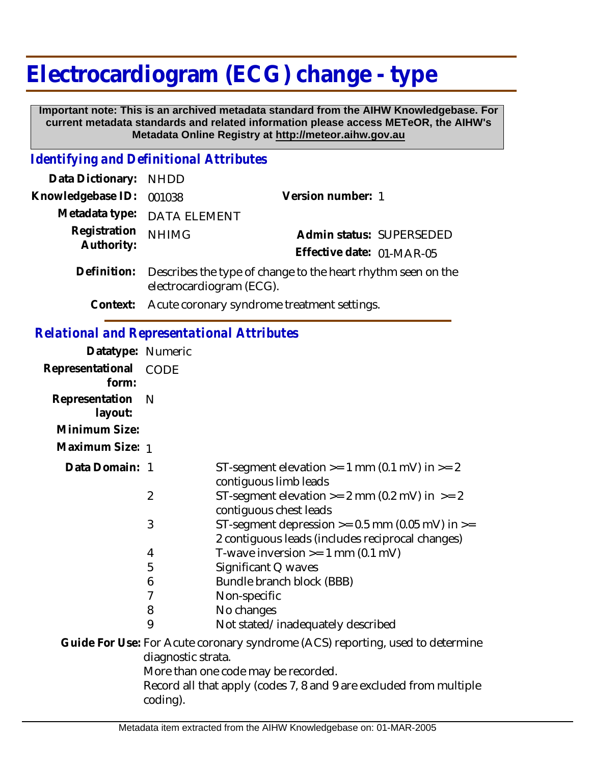# **Electrocardiogram (ECG) change - type**

 **Important note: This is an archived metadata standard from the AIHW Knowledgebase. For current metadata standards and related information please access METeOR, the AIHW's Metadata Online Registry at http://meteor.aihw.gov.au**

#### *Identifying and Definitional Attributes*

| Data Dictionary: NHDD    |                                                                                                      |                           |                          |
|--------------------------|------------------------------------------------------------------------------------------------------|---------------------------|--------------------------|
| Knowledgebase ID: 001038 |                                                                                                      | Version number: 1         |                          |
|                          | Metadata type: DATA ELEMENT                                                                          |                           |                          |
| Registration             | <b>NHIMG</b>                                                                                         |                           | Admin status: SUPERSEDED |
| Authority:               |                                                                                                      | Effective date: 01-MAR-05 |                          |
|                          | Definition: Describes the type of change to the heart rhythm seen on the<br>electrocardiogram (ECG). |                           |                          |
|                          |                                                                                                      |                           |                          |

**Context:** Acute coronary syndrome treatment settings.

### *Relational and Representational Attributes*

| Datatype: Numeric              |                    |                                                                                                         |
|--------------------------------|--------------------|---------------------------------------------------------------------------------------------------------|
| Representational CODE<br>form: |                    |                                                                                                         |
| Representation<br>layout:      | N                  |                                                                                                         |
| Minimum Size:                  |                    |                                                                                                         |
| Maximum Size: 1                |                    |                                                                                                         |
| Data Domain: 1                 |                    | ST-segment elevation $>= 1$ mm (0.1 mV) in $>= 2$<br>contiguous limb leads                              |
|                                | $\overline{2}$     | ST-segment elevation $>= 2$ mm (0.2 mV) in $>= 2$<br>contiguous chest leads                             |
|                                | 3                  | ST-segment depression $>= 0.5$ mm (0.05 mV) in $>=$<br>2 contiguous leads (includes reciprocal changes) |
|                                | 4                  | T-wave inversion $>= 1$ mm (0.1 mV)                                                                     |
|                                | 5                  | Significant Q waves                                                                                     |
|                                | 6                  | Bundle branch block (BBB)                                                                               |
|                                | 7                  | Non-specific                                                                                            |
|                                | 8                  | No changes                                                                                              |
|                                | 9                  | Not stated/inadequately described                                                                       |
|                                | diagnostic strata. | Guide For Use: For Acute coronary syndrome (ACS) reporting, used to determine                           |
|                                |                    | More than one code may be recorded.                                                                     |
|                                | coding).           | Record all that apply (codes 7, 8 and 9 are excluded from multiple                                      |